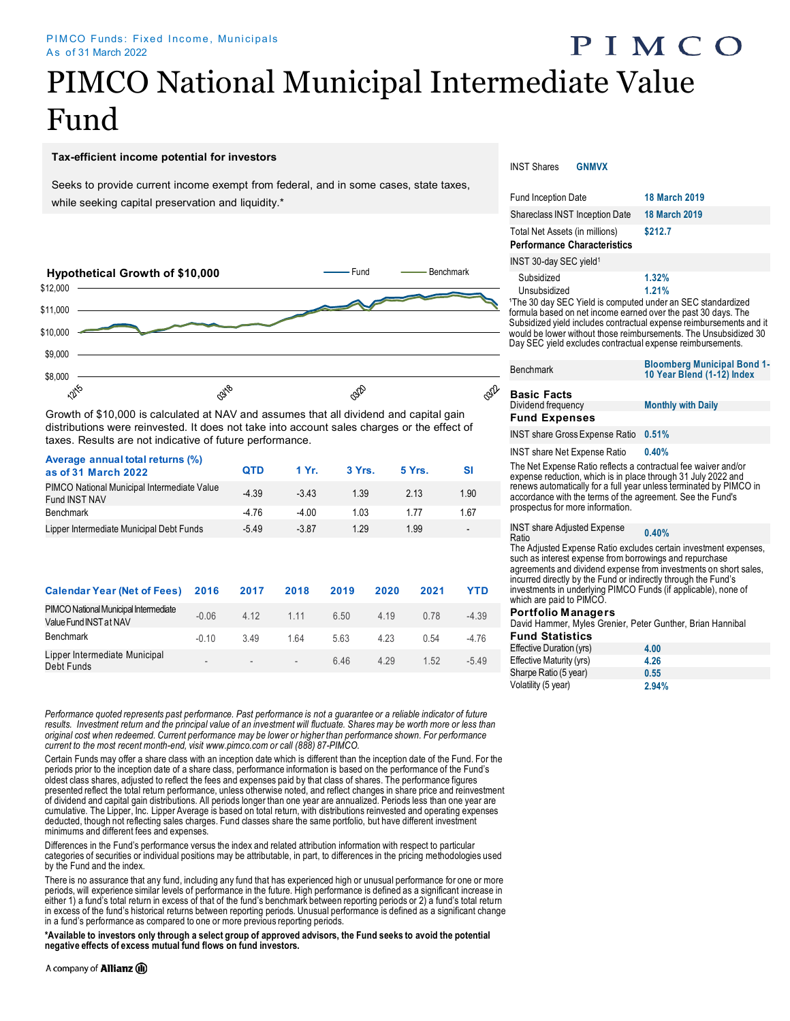# PIMCO National Municipal Intermediate Value Fund

#### **Tax-efficient income potential for investors**

Seeks to provide current income exempt from federal, and in some cases, state taxes, while seeking capital preservation and liquidity.<sup>\*</sup>



Growth of \$10,000 is calculated at NAV and assumes that all dividend and capital gain distributions were reinvested. It does not take into account sales charges or the effect of taxes. Results are not indicative of future performance.

| Average annual total returns (%)<br>as of 31 March 2022             | <b>QTD</b> | 1 Yr.   | 3 Yrs. | 5 Yrs. | SI                       |
|---------------------------------------------------------------------|------------|---------|--------|--------|--------------------------|
| PIMCO National Municipal Intermediate Value<br><b>Fund INST NAV</b> | $-4.39$    | $-3.43$ | 1.39   | 2.13   | 1.90                     |
| <b>Benchmark</b>                                                    | $-4.76$    | $-4.00$ | 1.03   | 1.77   | 1.67                     |
| Lipper Intermediate Municipal Debt Funds                            | $-5.49$    | $-3.87$ | 1.29   | 1.99   | $\overline{\phantom{0}}$ |
|                                                                     |            |         |        |        |                          |

| <b>Calendar Year (Net of Fees) 2016</b>                         |         | 2017                     | 2018                     | 2019 | 2020  | 2021 | YTD     |
|-----------------------------------------------------------------|---------|--------------------------|--------------------------|------|-------|------|---------|
| PIMCO National Municipal Intermediate<br>Value Fund INST at NAV | $-0.06$ | 4.12                     | 1.11                     | 6.50 | 4.19  | 0.78 | $-4.39$ |
| Benchmark                                                       | $-0.10$ | 349                      | 164                      | 5.63 | 4.23  | 0.54 | $-4.76$ |
| Lipper Intermediate Municipal<br>Debt Funds                     |         | $\overline{\phantom{a}}$ | $\overline{\phantom{a}}$ | 646  | 4 2 9 | 1.52 | $-5.49$ |

*Performance quoted represents past performance. Past performance is not a guarantee or a reliable indicator of future*  results. Investment return and the principal value of an investment will fluctuate. Shares may be worth more or less than *original cost when redeemed. Current performance may be lower or higher than performance shown. For performance current to the most recent month-end, visit www.pimco.com or call (888) 87-PIMCO.*

Certain Funds may offer a share class with an inception date which is different than the inception date of the Fund. For the periods prior to the inception date of a share class, performance information is based on the performance of the Fund's oldest class shares, adjusted to reflect the fees and expenses paid by that class of shares. The performance figures presented reflect the total return performance, unless otherwise noted, and reflect changes in share price and reinvestment of dividend and capital gain distributions. All periods longer than one year are annualized. Periods less than one year are cumulative. The Lipper, Inc. Lipper Average is based on total return, with distributions reinvested and operating expenses deducted, though not reflecting sales charges. Fund classes share the same portfolio, but have different investment minimums and different fees and expenses.

Differences in the Fund's performance versus the index and related attribution information with respect to particular categories of securities or individual positions may be attributable, in part, to differences in the pricing methodologies used by the Fund and the index.

There is no assurance that any fund, including any fund that has experienced high or unusual performance for one or more periods, will experience similar levels of performance in the future. High performance is defined as a significant increase in either 1) a fund's total return in excess of that of the fund's benchmark between reporting periods or 2) a fund's total return in excess of the fund's historical returns between reporting periods. Unusual performance is defined as a significant change in a fund's performance as compared to one or more previous reporting periods.

**\*Available to investors only through a select group of approved advisors, the Fund seeks to avoid the potential negative effects of excess mutual fund flows on fund investors.**

#### INST Shares **GNMVX**

| <b>Fund Inception Date</b>                                                                                                                                                                                                                                                                                                                                                      | <b>18 March 2019</b>                                             |
|---------------------------------------------------------------------------------------------------------------------------------------------------------------------------------------------------------------------------------------------------------------------------------------------------------------------------------------------------------------------------------|------------------------------------------------------------------|
| <b>Shareclass INST Inception Date</b>                                                                                                                                                                                                                                                                                                                                           | <b>18 March 2019</b>                                             |
| Total Net Assets (in millions)<br><b>Performance Characteristics</b>                                                                                                                                                                                                                                                                                                            | \$212.7                                                          |
| INST 30-day SEC yield <sup>1</sup>                                                                                                                                                                                                                                                                                                                                              |                                                                  |
| Subsidized<br>Unsubsidized<br><sup>1</sup> The 30 day SEC Yield is computed under an SEC standardized<br>formula based on net income earned over the past 30 days. The<br>Subsidized yield includes contractual expense reimbursements and it<br>would be lower without those reimbursements. The Unsubsidized 30<br>Day SEC yield excludes contractual expense reimbursements. | 1.32%<br>1.21%                                                   |
| <b>Benchmark</b>                                                                                                                                                                                                                                                                                                                                                                | <b>Bloomberg Municipal Bond 1-</b><br>10 Year Blend (1-12) Index |
|                                                                                                                                                                                                                                                                                                                                                                                 |                                                                  |

PIMCO

#### **Basic Facts**<br>Dividend frequency **Fund Expenses**

INST share GrossExpense Ratio **0.51%** 

INST share Net Expense Ratio **0.40%** 

The Net Expense Ratio reflects a contractual fee waiver and/or expense reduction, which is in place through 31 July 2022 and renews automatically for a full year unless terminated by PIMCO in accordance with the terms of the agreement. See the Fund's prospectus for more information.

**Monthly with Daily** 

INST share Adjusted Expense Ratio **0.40%** 

The Adjusted Expense Ratio excludes certain investment expenses, such as interest expense from borrowings and repurchase agreements and dividend expense from investments on short sales, incurred directly by the Fund or indirectly through the Fund's investments in underlying PIMCO Funds (if applicable), none of which are paid to PIMCO.

#### **Portfolio Managers**

David Hammer, Myles Grenier, Peter Gunther, Brian Hannibal

| <b>Fund Statistics</b>   |       |
|--------------------------|-------|
| Effective Duration (yrs) | 4.00  |
| Effective Maturity (yrs) | 4.26  |
| Sharpe Ratio (5 year)    | 0.55  |
| Volatility (5 year)      | 2.94% |